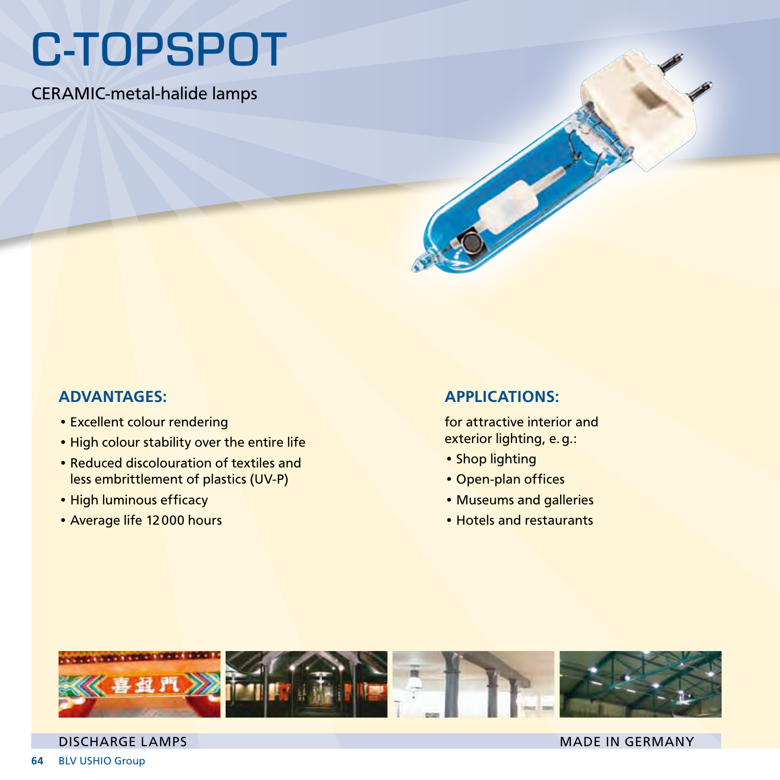## C-TOPSPOT

CERAMIC-metal-halide lamps



## ADVANTAGES:

- Excellent colour rendering
- High colour stability over the entire life
- Reduced discolouration of textiles and less embrittlement of plastics (UV-P)
- High luminous efficacy
- Average life 12000 hours

## APPLICATIONS:

for attractive interior and exterior lighting, e.g.:

- Shop lighting
- • Open-plan offices
- Museums and galleries
- Hotels and restaurants



## DISCHARGE LAMPS MADE IN GERMANY